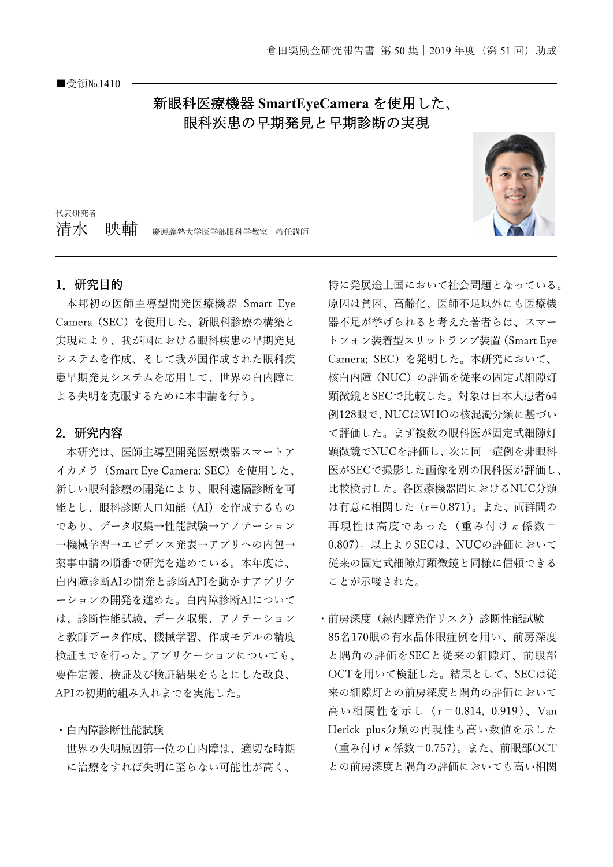## 新眼科医療機器 **SmartEyeCamera** を使用した、 眼科疾患の早期発見と早期診断の実現



代表研究者 7青水 映輔 慶應義塾大学医学部眼科学教室 特任講師

## 1.研究目的

本邦初の医師主導型開発医療機器 Smart Eye Camera(SEC)を使用した、新眼科診療の構築と 実現により、我が国における眼科疾患の早期発見 システムを作成、そして我が国作成された眼科疾 患早期発見システムを応用して、世界の白内障に よる失明を克服するために本申請を行う。

## 2.研究内容

本研究は、医師主導型開発医療機器スマートア イカメラ(Smart Eye Camera: SEC)を使用した、 新しい眼科診療の開発により、眼科遠隔診断を可 能とし、眼科診断人口知能(AI)を作成するもの であり、データ収集→性能試験→アノテーション →機械学習→エビデンス発表→アプリへの内包→ 薬事申請の順番で研究を進めている。本年度は、 白内障診断AIの開発と診断APIを動かすアプリケ ーションの開発を進めた。白内障診断AIについて は、診断性能試験、データ収集、アノテーション と教師データ作成、機械学習、作成モデルの精度 検証までを行った。アプリケーションについても、 要件定義、検証及び検証結果をもとにした改良、 APIの初期的組み入れまでを実施した。

世界の失明原因第一位の白内障は、適切な時期 に治療をすれば失明に至らない可能性が高く、

・白内障診断性能試験

特に発展途上国において社会問題となっている。 原因は貧困、高齢化、医師不足以外にも医療機 器不足が挙げられると考えた著者らは、スマー トフォン装着型スリットランプ装置(Smart Eye Camera; SEC)を発明した。本研究において、 核白内障(NUC)の評価を従来の固定式細隙灯 顕微鏡とSECで比較した。対象は日本人患者64 例128眼で、NUCはWHOの核混濁分類に基づい て評価した。まず複数の眼科医が固定式細隙灯 顕微鏡でNUCを評価し、次に同一症例を非眼科 医がSECで撮影した画像を別の眼科医が評価し、 比較検討した。各医療機器間におけるNUC分類 は有意に相関した(r=0.871)。また、両群間の 再現性は高度であった(重み付けκ係数= 0.807)。以上よりSECは、NUCの評価において 従来の固定式細隙灯顕微鏡と同様に信頼できる ことが示唆された。

・前房深度(緑内障発作リスク)診断性能試験 85名170眼の有水晶体眼症例を用い、前房深度 と隅角の評価をSECと従来の細隙灯、前眼部 OCTを用いて検証した。結果として、SECは従 来の細隙灯との前房深度と隅角の評価において 高い相関性を示し(r=0.814, 0.919)、Van Herick plus分類の再現性も高い数値を示した (重み付けκ係数=0.757)。また、前眼部OCT との前房深度と隅角の評価においても高い相関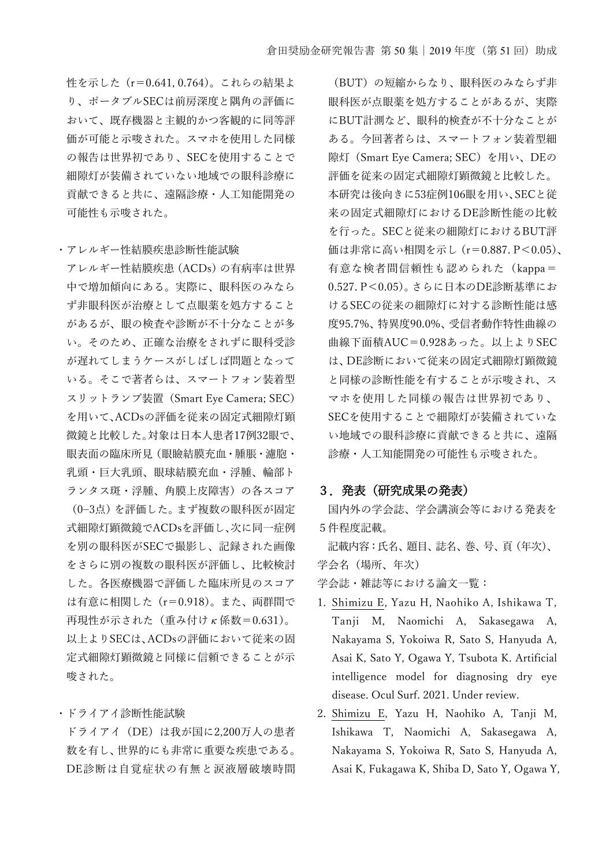性を示した (r=0.641, 0.764)。これらの結果よ り、ポータブルSECは前房深度と隅角の評価に おいて、既存機器と主観的かつ客観的に同等評 価が可能と示唆された。スマホを使用した同様 の報告は世界初であり、SECを使用することで 細隙灯が装備されていない地域での眼科診療に 貢献できると共に、遠隔診療・人工知能開発の 可能性も示唆された。

・アレルギー性結膜疾患診断性能試験

アレルギー性結膜疾患(ACDs)の有病率は世界 中で増加傾向にある。実際に、眼科医のみなら ず非眼科医が治療として点眼薬を処方すること があるが、眼の検査や診断が不十分なことが多 い。そのため、正確な治療をされずに眼科受診 が遅れてしまうケースがしばしば問題となって いる。そこで著者らは、スマートフォン装着型 スリットランプ装置(Smart Eye Camera; SEC) を用いて、ACDsの評価を従来の固定式細隙灯顕 微鏡と比較した。対象は日本人患者17例32眼で、 眼表面の臨床所見(眼瞼結膜充血・腫脹・濾胞・ 乳頭・巨大乳頭、眼球結膜充血・浮腫、輪部ト ランタス斑・浮腫、角膜上皮障害)の各スコア (0−3点)を評価した。まず複数の眼科医が固定 式細隙灯顕微鏡でACDsを評価し、次に同一症例 を別の眼科医がSECで撮影し、記録された画像 をさらに別の複数の眼科医が評価し、比較検討 した。各医療機器で評価した臨床所見のスコア は有意に相関した(r=0.918)。また、両群間で 再現性が示された(重み付けκ係数=0.631)。 以上よりSECは、ACDsの評価において従来の固 定式細隙灯顕微鏡と同様に信頼できることが示 唆された。

・ドライアイ診断性能試験

ドライアイ(DE)は我が国に2,200万人の患者 数を有し、世界的にも非常に重要な疾患である。 DE診断は自覚症状の有無と涙液層破壊時間

(BUT)の短縮からなり、眼科医のみならず非 眼科医が点眼薬を処方することがあるが、実際 にBUT計測など、眼科的検査が不十分なことが ある。今回著者らは、スマートフォン装着型細 隙灯(Smart Eye Camera; SEC)を用い、DEの 評価を従来の固定式細隙灯顕微鏡と比較した。 本研究は後向きに53症例106眼を用い、SECと従 来の固定式細隙灯におけるDE診断性能の比較 を行った。SECと従来の細隙灯におけるBUT評 価は非常に高い相関を示し(r=0.887. P<0.05)、 有意な検者間信頼性も認められた(kappa= 0.527. P<0.05)。さらに日本のDE診断基準にお けるSECの従来の細隙灯に対する診断性能は感 度95.7%、特異度90.0%、受信者動作特性曲線の 曲線下面積AUC=0.928あった。以上よりSEC は、DE診断において従来の固定式細隙灯顕微鏡 と同様の診断性能を有することが示唆され、ス マホを使用した同様の報告は世界初であり、 SECを使用することで細隙灯が装備されていな い地域での眼科診療に貢献できると共に、遠隔 診療・人工知能開発の可能性も示唆された。

## 3.発表(研究成果の発表)

国内外の学会誌、学会講演会等における発表を 5件程度記載。

記載内容:氏名、題目、誌名、巻、号、頁(年次)、 学会名(場所、年次)

学会誌・雑誌等における論文一覧:

- 1. Shimizu E, Yazu H, Naohiko A, Ishikawa T, Tanji M, Naomichi A, Sakasegawa A, Nakayama S, Yokoiwa R, Sato S, Hanyuda A, Asai K, Sato Y, Ogawa Y, Tsubota K. Artificial intelligence model for diagnosing dry eye disease. Ocul Surf. 2021. Under review.
- 2. Shimizu E, Yazu H, Naohiko A, Tanji M, Ishikawa T, Naomichi A, Sakasegawa A, Nakayama S, Yokoiwa R, Sato S, Hanyuda A, Asai K, Fukagawa K, Shiba D, Sato Y, Ogawa Y,